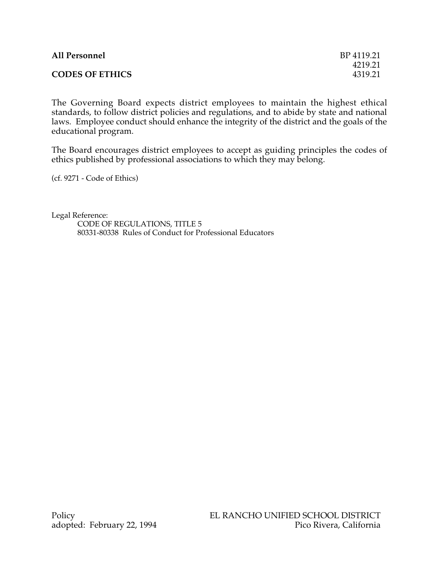| <b>All Personnel</b>   | BP 4119.21 |
|------------------------|------------|
|                        | 4219.21    |
| <b>CODES OF ETHICS</b> | 4319.21    |

The Governing Board expects district employees to maintain the highest ethical standards, to follow district policies and regulations, and to abide by state and national laws. Employee conduct should enhance the integrity of the district and the goals of the educational program.

The Board encourages district employees to accept as guiding principles the codes of ethics published by professional associations to which they may belong.

(cf. 9271 - Code of Ethics)

Legal Reference: CODE OF REGULATIONS, TITLE 5 80331-80338 Rules of Conduct for Professional Educators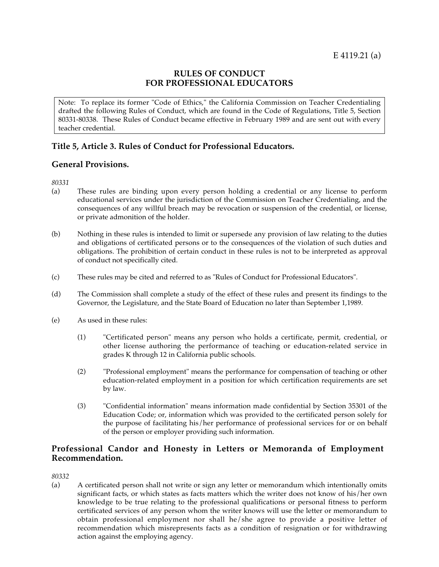### **RULES OF CONDUCT FOR PROFESSIONAL EDUCATORS**

Note: To replace its former "Code of Ethics," the California Commission on Teacher Credentialing drafted the following Rules of Conduct, which are found in the Code of Regulations, Title 5, Section 80331-80338. These Rules of Conduct became effective in February 1989 and are sent out with every teacher credential.

# **Title 5, Article 3. Rules of Conduct for Professional Educators.**

## **General Provisions.**

*80331*

- (a) These rules are binding upon every person holding a credential or any license to perform educational services under the jurisdiction of the Commission on Teacher Credentialing, and the consequences of any willful breach may be revocation or suspension of the credential, or license, or private admonition of the holder.
- (b) Nothing in these rules is intended to limit or supersede any provision of law relating to the duties and obligations of certificated persons or to the consequences of the violation of such duties and obligations. The prohibition of certain conduct in these rules is not to be interpreted as approval of conduct not specifically cited.
- (c) These rules may be cited and referred to as "Rules of Conduct for Professional Educators".
- (d) The Commission shall complete a study of the effect of these rules and present its findings to the Governor, the Legislature, and the State Board of Education no later than September 1,1989.
- (e) As used in these rules:
	- (1) "Certificated person" means any person who holds a certificate, permit, credential, or other license authoring the performance of teaching or education-related service in grades K through 12 in California public schools.
	- (2) "Professional employment" means the performance for compensation of teaching or other education-related employment in a position for which certification requirements are set by law.
	- (3) "Confidential information" means information made confidential by Section 35301 of the Education Code; or, information which was provided to the certificated person solely for the purpose of facilitating his/her performance of professional services for or on behalf of the person or employer providing such information.

# **Professional Candor and Honesty in Letters or Memoranda of Employment Recommendation.**

*80332*

(a) A certificated person shall not write or sign any letter or memorandum which intentionally omits significant facts, or which states as facts matters which the writer does not know of his/her own knowledge to be true relating to the professional qualifications or personal fitness to perform certificated services of any person whom the writer knows will use the letter or memorandum to obtain professional employment nor shall he/she agree to provide a positive letter of recommendation which misrepresents facts as a condition of resignation or for withdrawing action against the employing agency.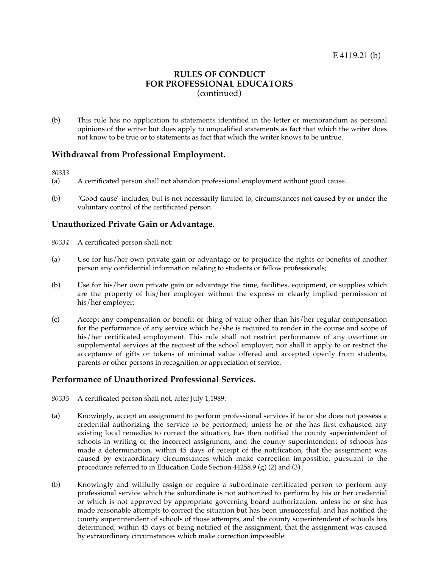## **RULES OF CONDUCT FOR PROFESSIONAL EDUCATORS** (continued)

(b) This rule has no application to statements identified in the letter or memorandum as personal opinions of the writer but does apply to unqualified statements as fact that which the writer does not know to be true or to statements as fact that which the writer knows to be untrue.

#### **Withdrawal from Professional Employment.**

*80333*

- (a) A certificated person shall not abandon professional employment without good cause.
- (b) "Good cause" includes, but is not necessarily limited to, circumstances not caused by or under the voluntary control of the certificated person.

#### **Unauthorized Private Gain or Advantage.**

- *80334* A certificated person shall not:
- (a) Use for his/her own private gain or advantage or to prejudice the rights or benefits of another person any confidential information relating to students or fellow professionals;
- (b) Use for his/her own private gain or advantage the time, facilities, equipment, or supplies which are the property of his/her employer without the express or clearly implied permission of his/her employer;
- (c) Accept any compensation or benefit or thing of value other than his/her regular compensation for the performance of any service which he/she is required to render in the course and scope of his/her certificated employment. This rule shall not restrict performance of any overtime or supplemental services at the request of the school employer; nor shall it apply to or restrict the acceptance of gifts or tokens of minimal value offered and accepted openly from students, parents or other persons in recognition or appreciation of service.

#### **Performance of Unauthorized Professional Services.**

- *80335* A certificated person shall not, after July 1,1989:
- (a) Knowingly, accept an assignment to perform professional services if he or she does not possess a credential authorizing the service to be performed; unless he or she has first exhausted any existing local remedies to correct the situation, has then notified the county superintendent of schools in writing of the incorrect assignment, and the county superintendent of schools has made a determination, within 45 days of receipt of the notification, that the assignment was caused by extraordinary circumstances which make correction impossible, pursuant to the procedures referred to in Education Code Section 44258.9 (g) (2) and (3) .
- (b) Knowingly and willfully assign or require a subordinate certificated person to perform any professional service which the subordinate is not authorized to perform by his or her credential or which is not approved by appropriate governing board authorization, unless he or she has made reasonable attempts to correct the situation but has been unsuccessful, and has notified the county superintendent of schools of those attempts, and the county superintendent of schools has determined, within 45 days of being notified of the assignment, that the assignment was caused by extraordinary circumstances which make correction impossible.